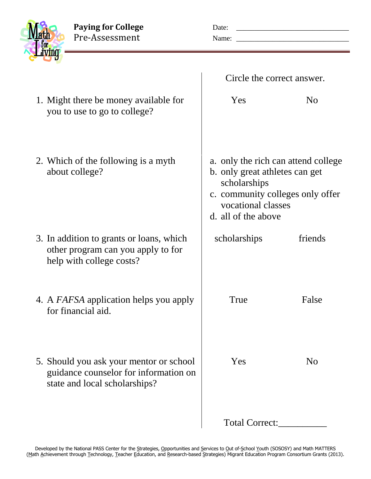Paying for College<br>
Pre-Assessment<br>
Pre-Assessment<br>
Name:

Pre-Assessment Name: \_\_\_\_\_\_\_\_\_\_\_\_\_\_\_\_\_\_\_\_\_\_\_\_\_\_\_\_\_\_\_

| Math |                |
|------|----------------|
|      | <b>http://</b> |
|      |                |

|                                                                                                                   | Circle the correct answer.                                                                                                                                             |                |
|-------------------------------------------------------------------------------------------------------------------|------------------------------------------------------------------------------------------------------------------------------------------------------------------------|----------------|
| 1. Might there be money available for<br>you to use to go to college?                                             | Yes                                                                                                                                                                    | No             |
| 2. Which of the following is a myth<br>about college?                                                             | a. only the rich can attend college<br>b. only great athletes can get<br>scholarships<br>c. community colleges only offer<br>vocational classes<br>d. all of the above |                |
| 3. In addition to grants or loans, which<br>other program can you apply to for<br>help with college costs?        | scholarships                                                                                                                                                           | friends        |
| 4. A <i>FAFSA</i> application helps you apply<br>for financial aid.                                               | True                                                                                                                                                                   | False          |
| 5. Should you ask your mentor or school<br>guidance counselor for information on<br>state and local scholarships? | Yes                                                                                                                                                                    | N <sub>0</sub> |
|                                                                                                                   | Total Correct:                                                                                                                                                         |                |